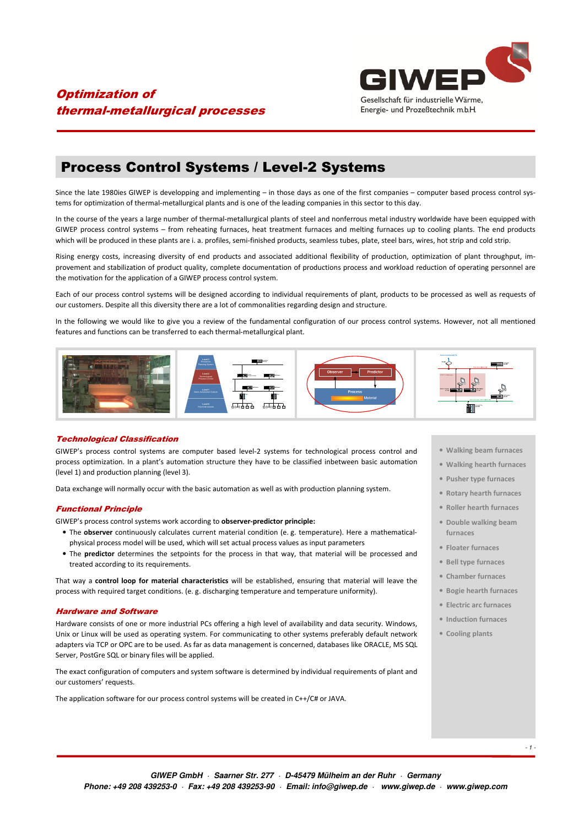

## Optimization of thermal-metallurgical processes

# Process Control Systems / Level-2 Systems

Since the late 1980ies GIWEP is developping and implementing – in those days as one of the first companies – computer based process control systems for optimization of thermal-metallurgical plants and is one of the leading companies in this sector to this day.

In the course of the years a large number of thermal-metallurgical plants of steel and nonferrous metal industry worldwide have been equipped with GIWEP process control systems – from reheating furnaces, heat treatment furnaces and melting furnaces up to cooling plants. The end products which will be produced in these plants are i. a. profiles, semi-finished products, seamless tubes, plate, steel bars, wires, hot strip and cold strip.

Rising energy costs, increasing diversity of end products and associated additional flexibility of production, optimization of plant throughput, improvement and stabilization of product quality, complete documentation of productions process and workload reduction of operating personnel are the motivation for the application of a GIWEP process control system.

Each of our process control systems will be designed according to individual requirements of plant, products to be processed as well as requests of our customers. Despite all this diversity there are a lot of commonalities regarding design and structure.

In the following we would like to give you a review of the fundamental configuration of our process control systems. However, not all mentioned features and functions can be transferred to each thermal-metallurgical plant.



## Technological Classification

GIWEP's process control systems are computer based level-2 systems for technological process control and process optimization. In a plant's automation structure they have to be classified inbetween basic automation (level 1) and production planning (level 3).

Data exchange will normally occur with the basic automation as well as with production planning system.

## Functional Principle

GIWEP's process control systems work according to **observer-predictor principle:**

- The **observer** continuously calculates current material condition (e. g. temperature). Here a mathematicalphysical process model will be used, which will set actual process values as input parameters
- The **predictor** determines the setpoints for the process in that way, that material will be processed and treated according to its requirements.

That way a **control loop for material characteristics** will be established, ensuring that material will leave the process with required target conditions. (e. g. discharging temperature and temperature uniformity).

#### Hardware and Software

Hardware consists of one or more industrial PCs offering a high level of availability and data security. Windows, Unix or Linux will be used as operating system. For communicating to other systems preferably default network adapters via TCP or OPC are to be used. As far as data management is concerned, databases like ORACLE, MS SQL Server, PostGre SQL or binary files will be applied.

The exact configuration of computers and system software is determined by individual requirements of plant and our customers' requests.

The application software for our process control systems will be created in C++/C# or JAVA.

- **Walking beam furnaces**
- **Walking hearth furnaces**
- **Pusher type furnaces**
- **Rotary hearth furnaces**
- **Roller hearth furnaces**
- **Double walking beam furnaces**
- **Floater furnaces**
- **Bell type furnaces**
- **Chamber furnaces**
- **Bogie hearth furnaces**
- **Electric arc furnaces**
- **Induction furnaces**
- **Cooling plants**